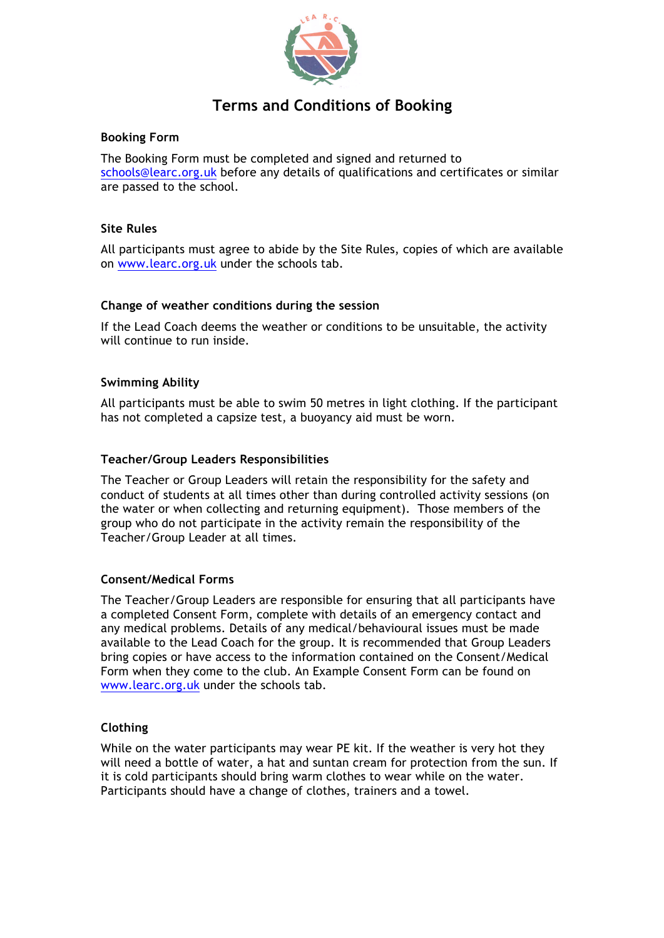

# **Terms and Conditions of Booking**

## **Booking Form**

The Booking Form must be completed and signed and returned to schools@learc.org.uk before any details of qualifications and certificates or similar are passed to the school.

# **Site Rules**

All participants must agree to abide by the Site Rules, copies of which are available on www.learc.org.uk under the schools tab.

# **Change of weather conditions during the session**

If the Lead Coach deems the weather or conditions to be unsuitable, the activity will continue to run inside.

## **Swimming Ability**

All participants must be able to swim 50 metres in light clothing. If the participant has not completed a capsize test, a buoyancy aid must be worn.

## **Teacher/Group Leaders Responsibilities**

The Teacher or Group Leaders will retain the responsibility for the safety and conduct of students at all times other than during controlled activity sessions (on the water or when collecting and returning equipment). Those members of the group who do not participate in the activity remain the responsibility of the Teacher/Group Leader at all times.

## **Consent/Medical Forms**

The Teacher/Group Leaders are responsible for ensuring that all participants have a completed Consent Form, complete with details of an emergency contact and any medical problems. Details of any medical/behavioural issues must be made available to the Lead Coach for the group. It is recommended that Group Leaders bring copies or have access to the information contained on the Consent/Medical Form when they come to the club. An Example Consent Form can be found on www.learc.org.uk under the schools tab.

## **Clothing**

While on the water participants may wear PE kit. If the weather is very hot they will need a bottle of water, a hat and suntan cream for protection from the sun. If it is cold participants should bring warm clothes to wear while on the water. Participants should have a change of clothes, trainers and a towel.